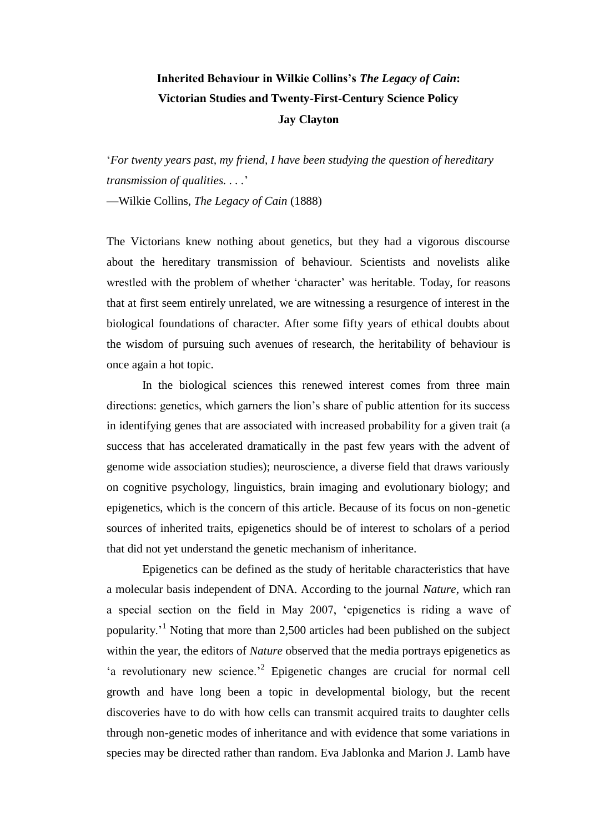# **Inherited Behaviour in Wilkie Collins's** *The Legacy of Cain***: Victorian Studies and Twenty-First-Century Science Policy Jay Clayton**

‗*For twenty years past, my friend, I have been studying the question of hereditary transmission of qualities. . . .*'

—Wilkie Collins, *The Legacy of Cain* (1888)

The Victorians knew nothing about genetics, but they had a vigorous discourse about the hereditary transmission of behaviour. Scientists and novelists alike wrestled with the problem of whether 'character' was heritable. Today, for reasons that at first seem entirely unrelated, we are witnessing a resurgence of interest in the biological foundations of character. After some fifty years of ethical doubts about the wisdom of pursuing such avenues of research, the heritability of behaviour is once again a hot topic.

In the biological sciences this renewed interest comes from three main directions: genetics, which garners the lion's share of public attention for its success in identifying genes that are associated with increased probability for a given trait (a success that has accelerated dramatically in the past few years with the advent of genome wide association studies); neuroscience, a diverse field that draws variously on cognitive psychology, linguistics, brain imaging and evolutionary biology; and epigenetics, which is the concern of this article. Because of its focus on non-genetic sources of inherited traits, epigenetics should be of interest to scholars of a period that did not yet understand the genetic mechanism of inheritance.

Epigenetics can be defined as the study of heritable characteristics that have a molecular basis independent of DNA. According to the journal *Nature*, which ran a special section on the field in May 2007, ‗epigenetics is riding a wave of popularity.'<sup>1</sup> Noting that more than 2,500 articles had been published on the subject within the year, the editors of *Nature* observed that the media portrays epigenetics as 'a revolutionary new science.<sup>2</sup> Epigenetic changes are crucial for normal cell growth and have long been a topic in developmental biology, but the recent discoveries have to do with how cells can transmit acquired traits to daughter cells through non-genetic modes of inheritance and with evidence that some variations in species may be directed rather than random. Eva Jablonka and Marion J. Lamb have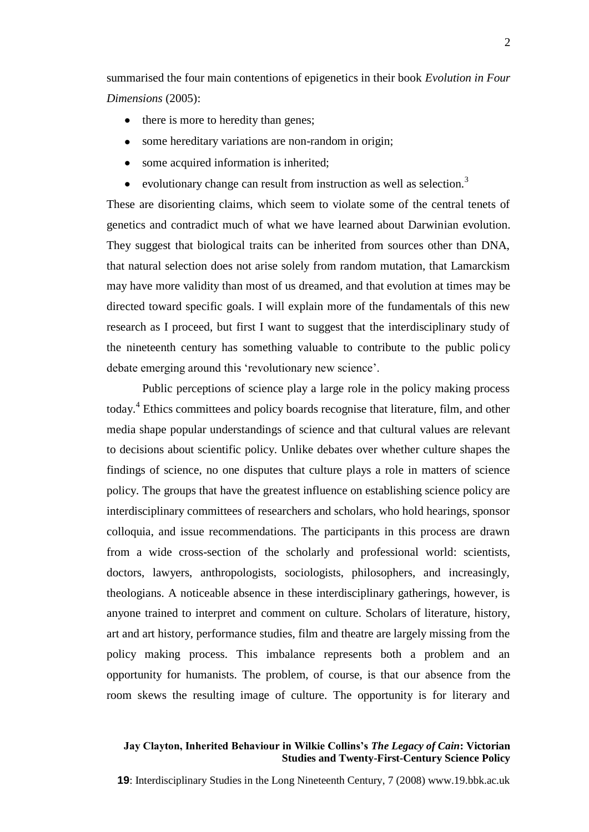summarised the four main contentions of epigenetics in their book *Evolution in Four Dimensions* (2005):

- there is more to heredity than genes;
- some hereditary variations are non-random in origin;
- some acquired information is inherited;  $\bullet$
- evolutionary change can result from instruction as well as selection.<sup>3</sup>  $\bullet$

These are disorienting claims, which seem to violate some of the central tenets of genetics and contradict much of what we have learned about Darwinian evolution. They suggest that biological traits can be inherited from sources other than DNA, that natural selection does not arise solely from random mutation, that Lamarckism may have more validity than most of us dreamed, and that evolution at times may be directed toward specific goals. I will explain more of the fundamentals of this new research as I proceed, but first I want to suggest that the interdisciplinary study of the nineteenth century has something valuable to contribute to the public policy debate emerging around this 'revolutionary new science'.

Public perceptions of science play a large role in the policy making process today.<sup>4</sup> Ethics committees and policy boards recognise that literature, film, and other media shape popular understandings of science and that cultural values are relevant to decisions about scientific policy. Unlike debates over whether culture shapes the findings of science, no one disputes that culture plays a role in matters of science policy. The groups that have the greatest influence on establishing science policy are interdisciplinary committees of researchers and scholars, who hold hearings, sponsor colloquia, and issue recommendations. The participants in this process are drawn from a wide cross-section of the scholarly and professional world: scientists, doctors, lawyers, anthropologists, sociologists, philosophers, and increasingly, theologians. A noticeable absence in these interdisciplinary gatherings, however, is anyone trained to interpret and comment on culture. Scholars of literature, history, art and art history, performance studies, film and theatre are largely missing from the policy making process. This imbalance represents both a problem and an opportunity for humanists. The problem, of course, is that our absence from the room skews the resulting image of culture. The opportunity is for literary and

#### **Jay Clayton, Inherited Behaviour in Wilkie Collins's** *The Legacy of Cain***: Victorian Studies and Twenty-First-Century Science Policy**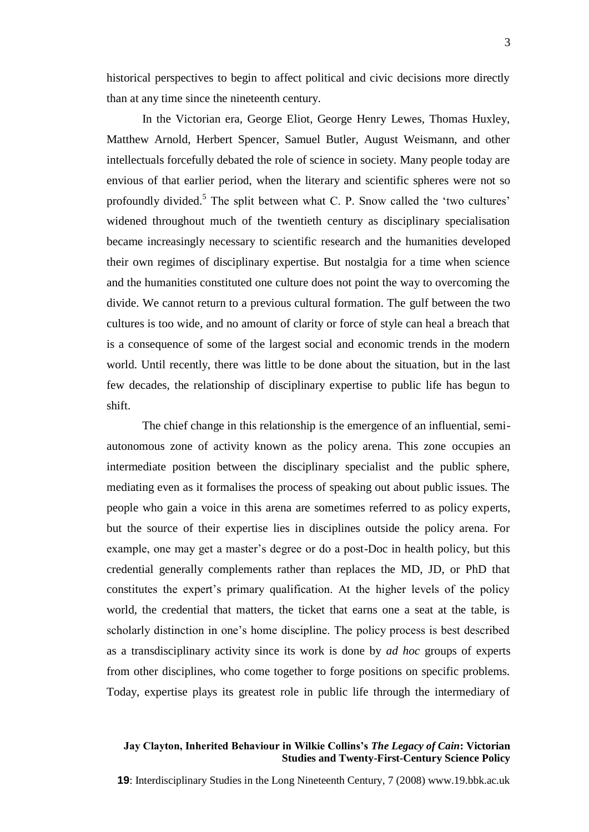historical perspectives to begin to affect political and civic decisions more directly than at any time since the nineteenth century.

In the Victorian era, George Eliot, George Henry Lewes, Thomas Huxley, Matthew Arnold, Herbert Spencer, Samuel Butler, August Weismann, and other intellectuals forcefully debated the role of science in society. Many people today are envious of that earlier period, when the literary and scientific spheres were not so profoundly divided.<sup>5</sup> The split between what C. P. Snow called the 'two cultures' widened throughout much of the twentieth century as disciplinary specialisation became increasingly necessary to scientific research and the humanities developed their own regimes of disciplinary expertise. But nostalgia for a time when science and the humanities constituted one culture does not point the way to overcoming the divide. We cannot return to a previous cultural formation. The gulf between the two cultures is too wide, and no amount of clarity or force of style can heal a breach that is a consequence of some of the largest social and economic trends in the modern world. Until recently, there was little to be done about the situation, but in the last few decades, the relationship of disciplinary expertise to public life has begun to shift.

The chief change in this relationship is the emergence of an influential, semiautonomous zone of activity known as the policy arena. This zone occupies an intermediate position between the disciplinary specialist and the public sphere, mediating even as it formalises the process of speaking out about public issues. The people who gain a voice in this arena are sometimes referred to as policy experts, but the source of their expertise lies in disciplines outside the policy arena. For example, one may get a master's degree or do a post-Doc in health policy, but this credential generally complements rather than replaces the MD, JD, or PhD that constitutes the expert's primary qualification. At the higher levels of the policy world, the credential that matters, the ticket that earns one a seat at the table, is scholarly distinction in one's home discipline. The policy process is best described as a transdisciplinary activity since its work is done by *ad hoc* groups of experts from other disciplines, who come together to forge positions on specific problems. Today, expertise plays its greatest role in public life through the intermediary of

#### **Jay Clayton, Inherited Behaviour in Wilkie Collins's** *The Legacy of Cain***: Victorian Studies and Twenty-First-Century Science Policy**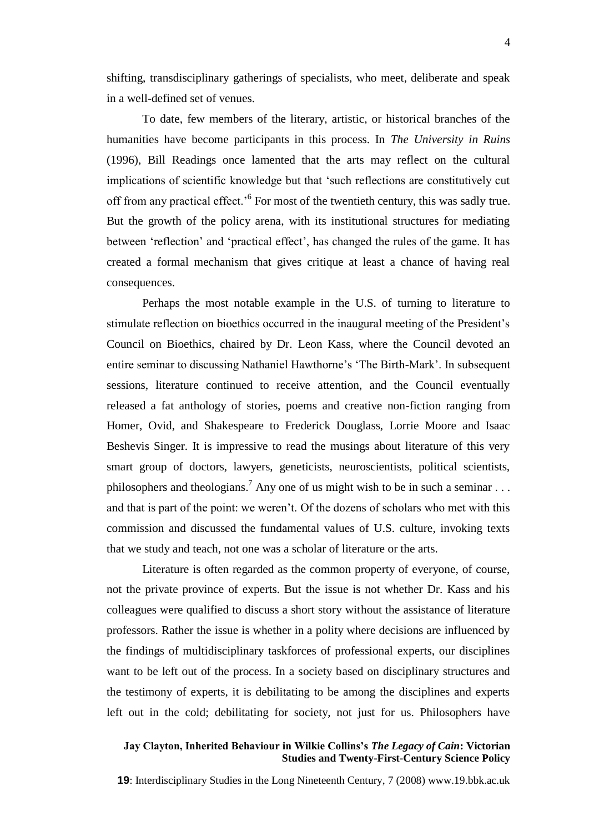shifting, transdisciplinary gatherings of specialists, who meet, deliberate and speak in a well-defined set of venues.

To date, few members of the literary, artistic, or historical branches of the humanities have become participants in this process. In *The University in Ruins* (1996), Bill Readings once lamented that the arts may reflect on the cultural implications of scientific knowledge but that 'such reflections are constitutively cut off from any practical effect.<sup>'6</sup> For most of the twentieth century, this was sadly true. But the growth of the policy arena, with its institutional structures for mediating between 'reflection' and 'practical effect', has changed the rules of the game. It has created a formal mechanism that gives critique at least a chance of having real consequences.

Perhaps the most notable example in the U.S. of turning to literature to stimulate reflection on bioethics occurred in the inaugural meeting of the President's Council on Bioethics, chaired by Dr. Leon Kass, where the Council devoted an entire seminar to discussing Nathaniel Hawthorne's 'The Birth-Mark'. In subsequent sessions, literature continued to receive attention, and the Council eventually released a fat anthology of stories, poems and creative non-fiction ranging from Homer, Ovid, and Shakespeare to Frederick Douglass, Lorrie Moore and Isaac Beshevis Singer. It is impressive to read the musings about literature of this very smart group of doctors, lawyers, geneticists, neuroscientists, political scientists, philosophers and theologians.<sup>7</sup> Any one of us might wish to be in such a seminar ... and that is part of the point: we weren't. Of the dozens of scholars who met with this commission and discussed the fundamental values of U.S. culture, invoking texts that we study and teach, not one was a scholar of literature or the arts.

Literature is often regarded as the common property of everyone, of course, not the private province of experts. But the issue is not whether Dr. Kass and his colleagues were qualified to discuss a short story without the assistance of literature professors. Rather the issue is whether in a polity where decisions are influenced by the findings of multidisciplinary taskforces of professional experts, our disciplines want to be left out of the process. In a society based on disciplinary structures and the testimony of experts, it is debilitating to be among the disciplines and experts left out in the cold; debilitating for society, not just for us. Philosophers have

#### **Jay Clayton, Inherited Behaviour in Wilkie Collins's** *The Legacy of Cain***: Victorian Studies and Twenty-First-Century Science Policy**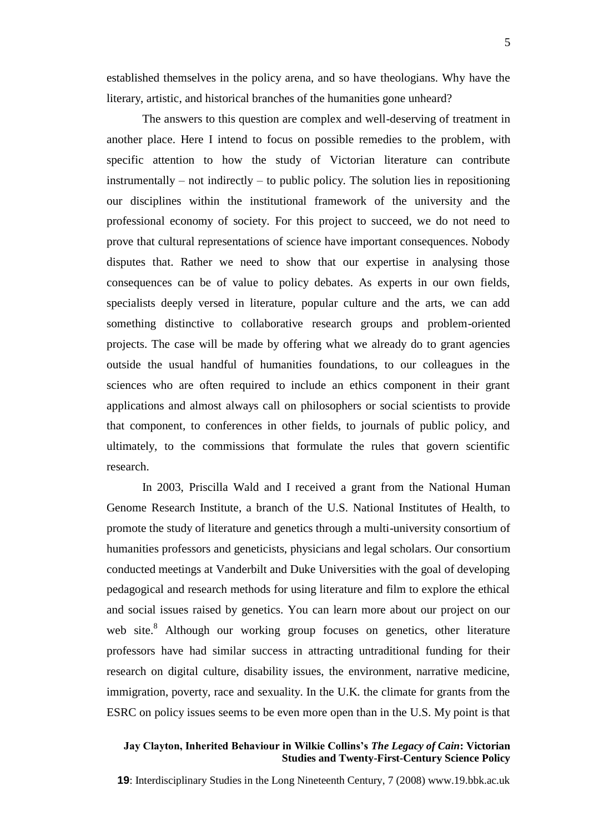established themselves in the policy arena, and so have theologians. Why have the literary, artistic, and historical branches of the humanities gone unheard?

The answers to this question are complex and well-deserving of treatment in another place. Here I intend to focus on possible remedies to the problem, with specific attention to how the study of Victorian literature can contribute instrumentally – not indirectly – to public policy. The solution lies in repositioning our disciplines within the institutional framework of the university and the professional economy of society. For this project to succeed, we do not need to prove that cultural representations of science have important consequences. Nobody disputes that. Rather we need to show that our expertise in analysing those consequences can be of value to policy debates. As experts in our own fields, specialists deeply versed in literature, popular culture and the arts, we can add something distinctive to collaborative research groups and problem-oriented projects. The case will be made by offering what we already do to grant agencies outside the usual handful of humanities foundations, to our colleagues in the sciences who are often required to include an ethics component in their grant applications and almost always call on philosophers or social scientists to provide that component, to conferences in other fields, to journals of public policy, and ultimately, to the commissions that formulate the rules that govern scientific research.

In 2003, Priscilla Wald and I received a grant from the National Human Genome Research Institute, a branch of the U.S. National Institutes of Health, to promote the study of literature and genetics through a multi-university consortium of humanities professors and geneticists, physicians and legal scholars. Our consortium conducted meetings at Vanderbilt and Duke Universities with the goal of developing pedagogical and research methods for using literature and film to explore the ethical and social issues raised by genetics. You can learn more about our project on our web site.<sup>8</sup> Although our working group focuses on genetics, other literature professors have had similar success in attracting untraditional funding for their research on digital culture, disability issues, the environment, narrative medicine, immigration, poverty, race and sexuality. In the U.K. the climate for grants from the ESRC on policy issues seems to be even more open than in the U.S. My point is that

#### **Jay Clayton, Inherited Behaviour in Wilkie Collins's** *The Legacy of Cain***: Victorian Studies and Twenty-First-Century Science Policy**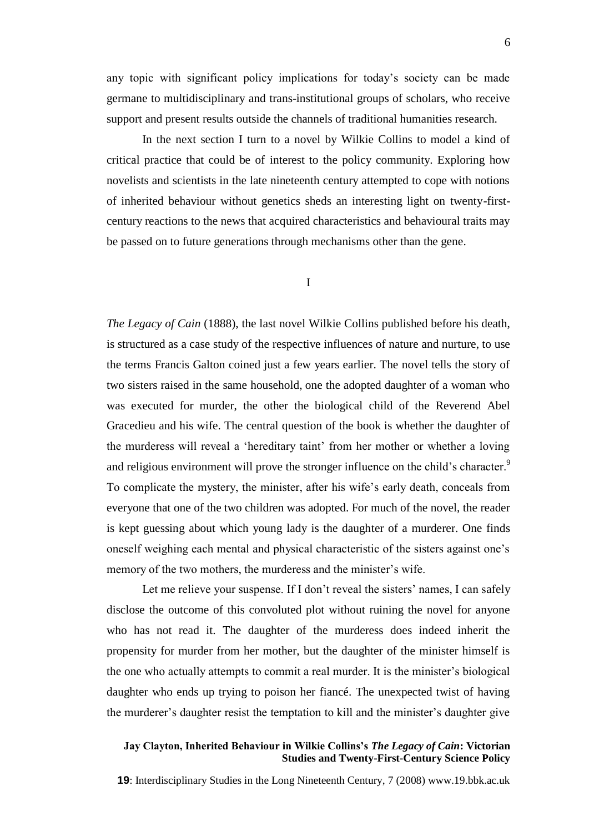any topic with significant policy implications for today's society can be made germane to multidisciplinary and trans-institutional groups of scholars, who receive support and present results outside the channels of traditional humanities research.

In the next section I turn to a novel by Wilkie Collins to model a kind of critical practice that could be of interest to the policy community. Exploring how novelists and scientists in the late nineteenth century attempted to cope with notions of inherited behaviour without genetics sheds an interesting light on twenty-firstcentury reactions to the news that acquired characteristics and behavioural traits may be passed on to future generations through mechanisms other than the gene.

## I

*The Legacy of Cain* (1888), the last novel Wilkie Collins published before his death, is structured as a case study of the respective influences of nature and nurture, to use the terms Francis Galton coined just a few years earlier. The novel tells the story of two sisters raised in the same household, one the adopted daughter of a woman who was executed for murder, the other the biological child of the Reverend Abel Gracedieu and his wife. The central question of the book is whether the daughter of the murderess will reveal a ‗hereditary taint' from her mother or whether a loving and religious environment will prove the stronger influence on the child's character.<sup>9</sup> To complicate the mystery, the minister, after his wife's early death, conceals from everyone that one of the two children was adopted. For much of the novel, the reader is kept guessing about which young lady is the daughter of a murderer. One finds oneself weighing each mental and physical characteristic of the sisters against one's memory of the two mothers, the murderess and the minister's wife.

Let me relieve your suspense. If I don't reveal the sisters' names, I can safely disclose the outcome of this convoluted plot without ruining the novel for anyone who has not read it. The daughter of the murderess does indeed inherit the propensity for murder from her mother, but the daughter of the minister himself is the one who actually attempts to commit a real murder. It is the minister's biological daughter who ends up trying to poison her fiancé. The unexpected twist of having the murderer's daughter resist the temptation to kill and the minister's daughter give

#### **Jay Clayton, Inherited Behaviour in Wilkie Collins's** *The Legacy of Cain***: Victorian Studies and Twenty-First-Century Science Policy**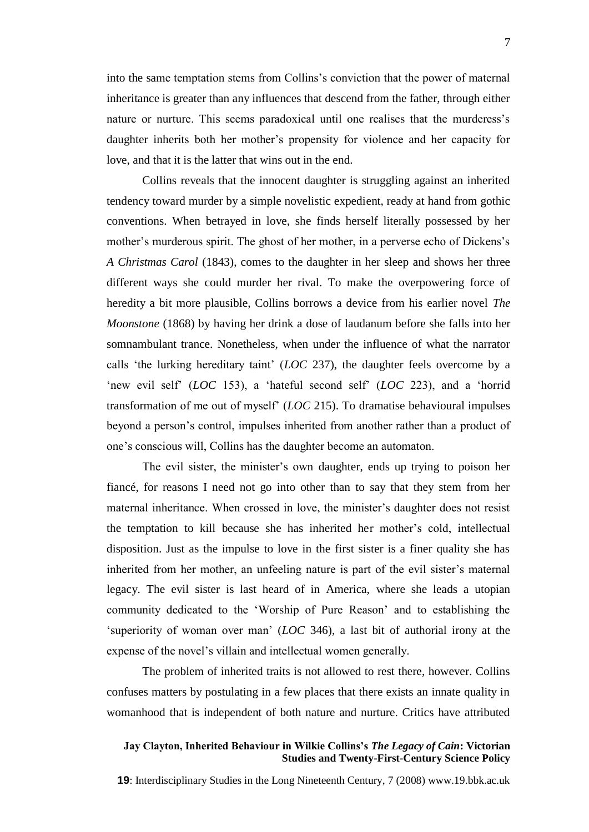into the same temptation stems from Collins's conviction that the power of maternal inheritance is greater than any influences that descend from the father, through either nature or nurture. This seems paradoxical until one realises that the murderess's daughter inherits both her mother's propensity for violence and her capacity for love, and that it is the latter that wins out in the end.

Collins reveals that the innocent daughter is struggling against an inherited tendency toward murder by a simple novelistic expedient, ready at hand from gothic conventions. When betrayed in love, she finds herself literally possessed by her mother's murderous spirit. The ghost of her mother, in a perverse echo of Dickens's *A Christmas Carol* (1843), comes to the daughter in her sleep and shows her three different ways she could murder her rival. To make the overpowering force of heredity a bit more plausible, Collins borrows a device from his earlier novel *The Moonstone* (1868) by having her drink a dose of laudanum before she falls into her somnambulant trance. Nonetheless, when under the influence of what the narrator calls 'the lurking hereditary taint' (*LOC* 237), the daughter feels overcome by a ‗new evil self' (*LOC* 153), a ‗hateful second self' (*LOC* 223), and a ‗horrid transformation of me out of myself' (*LOC* 215). To dramatise behavioural impulses beyond a person's control, impulses inherited from another rather than a product of one's conscious will, Collins has the daughter become an automaton.

The evil sister, the minister's own daughter, ends up trying to poison her fiancé, for reasons I need not go into other than to say that they stem from her maternal inheritance. When crossed in love, the minister's daughter does not resist the temptation to kill because she has inherited her mother's cold, intellectual disposition. Just as the impulse to love in the first sister is a finer quality she has inherited from her mother, an unfeeling nature is part of the evil sister's maternal legacy. The evil sister is last heard of in America, where she leads a utopian community dedicated to the 'Worship of Pure Reason' and to establishing the ‗superiority of woman over man' (*LOC* 346), a last bit of authorial irony at the expense of the novel's villain and intellectual women generally.

The problem of inherited traits is not allowed to rest there, however. Collins confuses matters by postulating in a few places that there exists an innate quality in womanhood that is independent of both nature and nurture. Critics have attributed

#### **Jay Clayton, Inherited Behaviour in Wilkie Collins's** *The Legacy of Cain***: Victorian Studies and Twenty-First-Century Science Policy**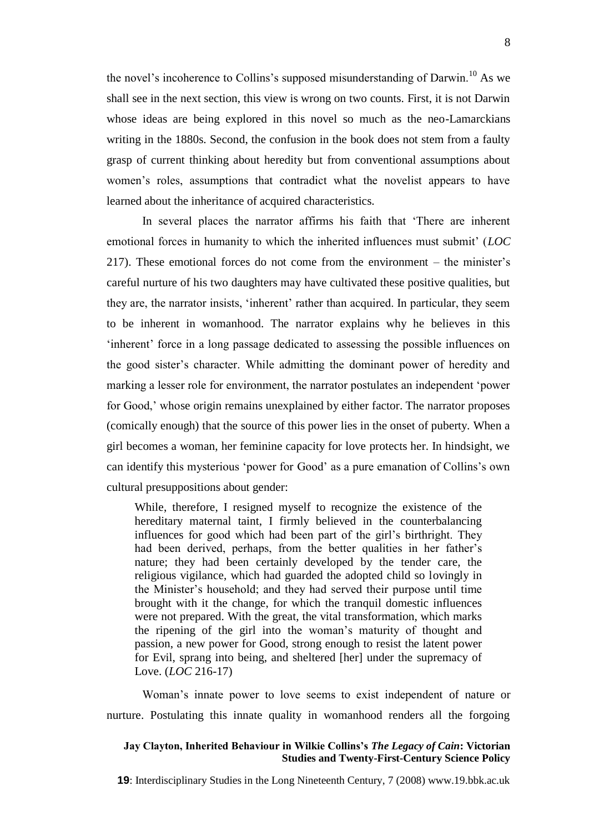the novel's incoherence to Collins's supposed misunderstanding of Darwin.<sup>10</sup> As we shall see in the next section, this view is wrong on two counts. First, it is not Darwin whose ideas are being explored in this novel so much as the neo-Lamarckians writing in the 1880s. Second, the confusion in the book does not stem from a faulty grasp of current thinking about heredity but from conventional assumptions about women's roles, assumptions that contradict what the novelist appears to have learned about the inheritance of acquired characteristics.

In several places the narrator affirms his faith that 'There are inherent emotional forces in humanity to which the inherited influences must submit' (*LOC* 217). These emotional forces do not come from the environment – the minister's careful nurture of his two daughters may have cultivated these positive qualities, but they are, the narrator insists, 'inherent' rather than acquired. In particular, they seem to be inherent in womanhood. The narrator explains why he believes in this ‗inherent' force in a long passage dedicated to assessing the possible influences on the good sister's character. While admitting the dominant power of heredity and marking a lesser role for environment, the narrator postulates an independent 'power for Good,' whose origin remains unexplained by either factor. The narrator proposes (comically enough) that the source of this power lies in the onset of puberty. When a girl becomes a woman, her feminine capacity for love protects her. In hindsight, we can identify this mysterious 'power for Good' as a pure emanation of Collins's own cultural presuppositions about gender:

While, therefore, I resigned myself to recognize the existence of the hereditary maternal taint, I firmly believed in the counterbalancing influences for good which had been part of the girl's birthright. They had been derived, perhaps, from the better qualities in her father's nature; they had been certainly developed by the tender care, the religious vigilance, which had guarded the adopted child so lovingly in the Minister's household; and they had served their purpose until time brought with it the change, for which the tranquil domestic influences were not prepared. With the great, the vital transformation, which marks the ripening of the girl into the woman's maturity of thought and passion, a new power for Good, strong enough to resist the latent power for Evil, sprang into being, and sheltered [her] under the supremacy of Love. (*LOC* 216-17)

Woman's innate power to love seems to exist independent of nature or nurture. Postulating this innate quality in womanhood renders all the forgoing

#### **Jay Clayton, Inherited Behaviour in Wilkie Collins's** *The Legacy of Cain***: Victorian Studies and Twenty-First-Century Science Policy**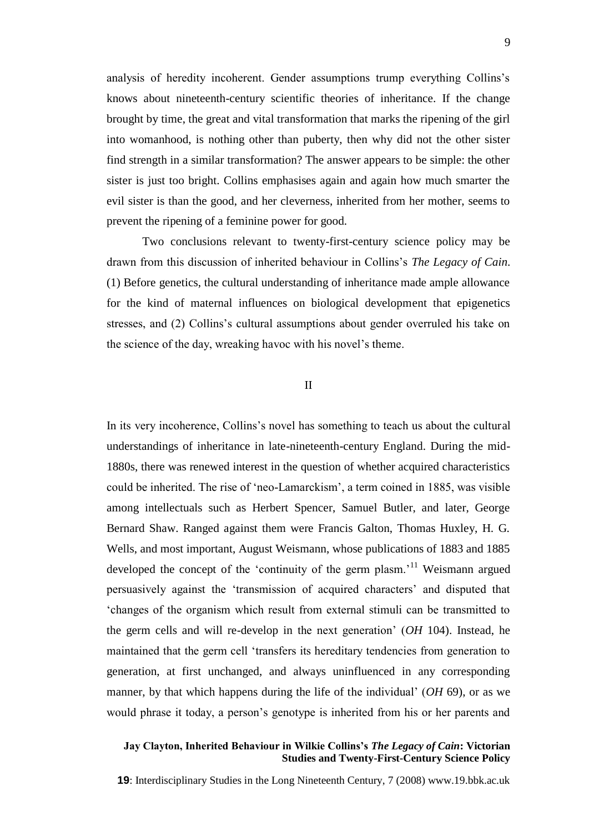analysis of heredity incoherent. Gender assumptions trump everything Collins's knows about nineteenth-century scientific theories of inheritance. If the change brought by time, the great and vital transformation that marks the ripening of the girl into womanhood, is nothing other than puberty, then why did not the other sister find strength in a similar transformation? The answer appears to be simple: the other sister is just too bright. Collins emphasises again and again how much smarter the evil sister is than the good, and her cleverness, inherited from her mother, seems to prevent the ripening of a feminine power for good.

Two conclusions relevant to twenty-first-century science policy may be drawn from this discussion of inherited behaviour in Collins's *The Legacy of Cain*. (1) Before genetics, the cultural understanding of inheritance made ample allowance for the kind of maternal influences on biological development that epigenetics stresses, and (2) Collins's cultural assumptions about gender overruled his take on the science of the day, wreaking havoc with his novel's theme.

# II

In its very incoherence, Collins's novel has something to teach us about the cultural understandings of inheritance in late-nineteenth-century England. During the mid-1880s, there was renewed interest in the question of whether acquired characteristics could be inherited. The rise of 'neo-Lamarckism', a term coined in 1885, was visible among intellectuals such as Herbert Spencer, Samuel Butler, and later, George Bernard Shaw. Ranged against them were Francis Galton, Thomas Huxley, H. G. Wells, and most important, August Weismann, whose publications of 1883 and 1885 developed the concept of the 'continuity of the germ plasm.'<sup>11</sup> Weismann argued persuasively against the ‗transmission of acquired characters' and disputed that ‗changes of the organism which result from external stimuli can be transmitted to the germ cells and will re-develop in the next generation' (*OH* 104). Instead, he maintained that the germ cell 'transfers its hereditary tendencies from generation to generation, at first unchanged, and always uninfluenced in any corresponding manner, by that which happens during the life of the individual' (*OH* 69), or as we would phrase it today, a person's genotype is inherited from his or her parents and

#### **Jay Clayton, Inherited Behaviour in Wilkie Collins's** *The Legacy of Cain***: Victorian Studies and Twenty-First-Century Science Policy**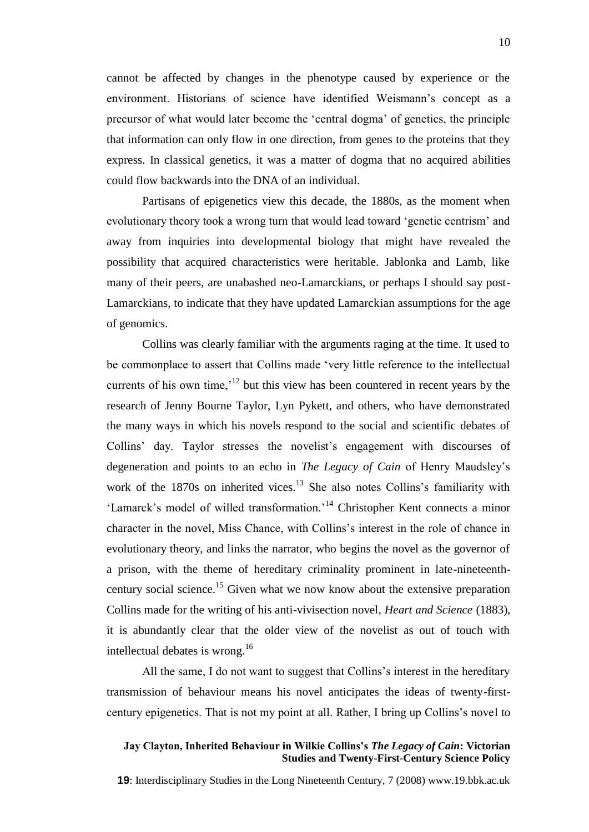cannot be affected by changes in the phenotype caused by experience or the environment. Historians of science have identified Weismann's concept as a precursor of what would later become the ‗central dogma' of genetics, the principle that information can only flow in one direction, from genes to the proteins that they express. In classical genetics, it was a matter of dogma that no acquired abilities could flow backwards into the DNA of an individual.

Partisans of epigenetics view this decade, the 1880s, as the moment when evolutionary theory took a wrong turn that would lead toward ‗genetic centrism' and away from inquiries into developmental biology that might have revealed the possibility that acquired characteristics were heritable. Jablonka and Lamb, like many of their peers, are unabashed neo-Lamarckians, or perhaps I should say post-Lamarckians, to indicate that they have updated Lamarckian assumptions for the age of genomics.

Collins was clearly familiar with the arguments raging at the time. It used to be commonplace to assert that Collins made 'very little reference to the intellectual currents of his own time,'<sup>12</sup> but this view has been countered in recent years by the research of Jenny Bourne Taylor, Lyn Pykett, and others, who have demonstrated the many ways in which his novels respond to the social and scientific debates of Collins' day. Taylor stresses the novelist's engagement with discourses of degeneration and points to an echo in *The Legacy of Cain* of Henry Maudsley's work of the  $1870s$  on inherited vices.<sup>13</sup> She also notes Collins's familiarity with ‗Lamarck's model of willed transformation.'<sup>14</sup> Christopher Kent connects a minor character in the novel, Miss Chance, with Collins's interest in the role of chance in evolutionary theory, and links the narrator, who begins the novel as the governor of a prison, with the theme of hereditary criminality prominent in late-nineteenthcentury social science.<sup>15</sup> Given what we now know about the extensive preparation Collins made for the writing of his anti-vivisection novel, *Heart and Science* (1883), it is abundantly clear that the older view of the novelist as out of touch with intellectual debates is wrong.<sup>16</sup>

All the same, I do not want to suggest that Collins's interest in the hereditary transmission of behaviour means his novel anticipates the ideas of twenty-firstcentury epigenetics. That is not my point at all. Rather, I bring up Collins's novel to

#### **Jay Clayton, Inherited Behaviour in Wilkie Collins's** *The Legacy of Cain***: Victorian Studies and Twenty-First-Century Science Policy**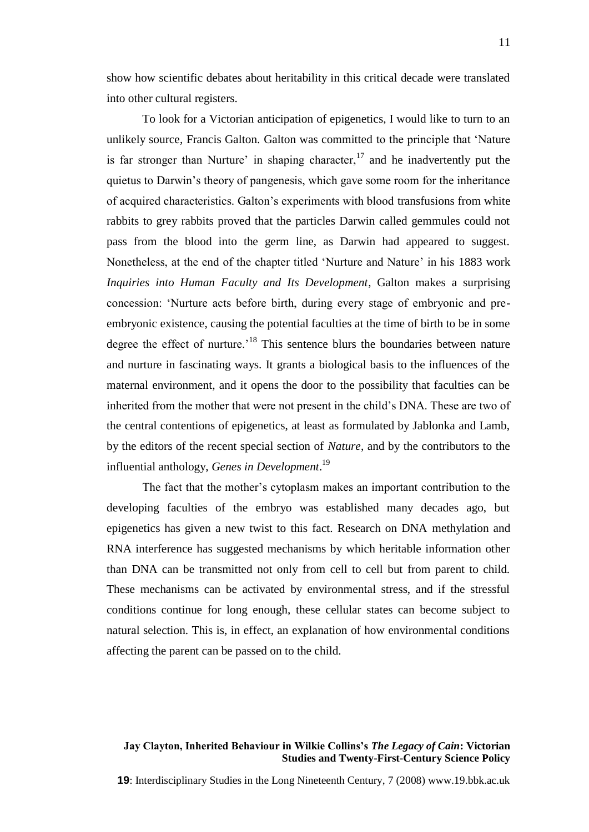show how scientific debates about heritability in this critical decade were translated into other cultural registers.

To look for a Victorian anticipation of epigenetics, I would like to turn to an unlikely source, Francis Galton. Galton was committed to the principle that 'Nature' is far stronger than Nurture' in shaping character,  $17$  and he inadvertently put the quietus to Darwin's theory of pangenesis, which gave some room for the inheritance of acquired characteristics. Galton's experiments with blood transfusions from white rabbits to grey rabbits proved that the particles Darwin called gemmules could not pass from the blood into the germ line, as Darwin had appeared to suggest. Nonetheless, at the end of the chapter titled 'Nurture and Nature' in his 1883 work *Inquiries into Human Faculty and Its Development*, Galton makes a surprising concession: ‗Nurture acts before birth, during every stage of embryonic and preembryonic existence, causing the potential faculties at the time of birth to be in some degree the effect of nurture.<sup>18</sup> This sentence blurs the boundaries between nature and nurture in fascinating ways. It grants a biological basis to the influences of the maternal environment, and it opens the door to the possibility that faculties can be inherited from the mother that were not present in the child's DNA. These are two of the central contentions of epigenetics, at least as formulated by Jablonka and Lamb, by the editors of the recent special section of *Nature*, and by the contributors to the influential anthology, *Genes in Development*. 19

The fact that the mother's cytoplasm makes an important contribution to the developing faculties of the embryo was established many decades ago, but epigenetics has given a new twist to this fact. Research on DNA methylation and RNA interference has suggested mechanisms by which heritable information other than DNA can be transmitted not only from cell to cell but from parent to child. These mechanisms can be activated by environmental stress, and if the stressful conditions continue for long enough, these cellular states can become subject to natural selection. This is, in effect, an explanation of how environmental conditions affecting the parent can be passed on to the child.

#### **Jay Clayton, Inherited Behaviour in Wilkie Collins's** *The Legacy of Cain***: Victorian Studies and Twenty-First-Century Science Policy**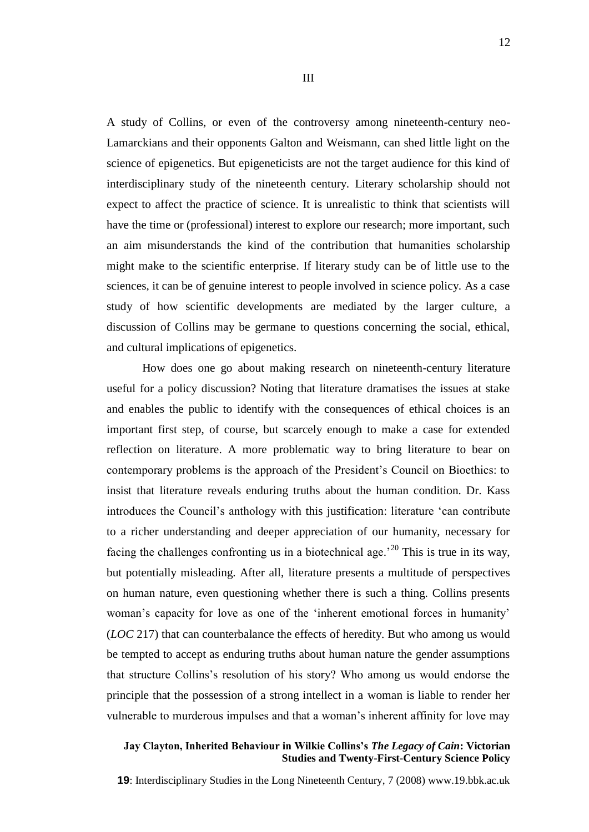A study of Collins, or even of the controversy among nineteenth-century neo-Lamarckians and their opponents Galton and Weismann, can shed little light on the science of epigenetics. But epigeneticists are not the target audience for this kind of interdisciplinary study of the nineteenth century. Literary scholarship should not expect to affect the practice of science. It is unrealistic to think that scientists will have the time or (professional) interest to explore our research; more important, such an aim misunderstands the kind of the contribution that humanities scholarship might make to the scientific enterprise. If literary study can be of little use to the sciences, it can be of genuine interest to people involved in science policy. As a case study of how scientific developments are mediated by the larger culture, a discussion of Collins may be germane to questions concerning the social, ethical, and cultural implications of epigenetics.

How does one go about making research on nineteenth-century literature useful for a policy discussion? Noting that literature dramatises the issues at stake and enables the public to identify with the consequences of ethical choices is an important first step, of course, but scarcely enough to make a case for extended reflection on literature. A more problematic way to bring literature to bear on contemporary problems is the approach of the President's Council on Bioethics: to insist that literature reveals enduring truths about the human condition. Dr. Kass introduces the Council's anthology with this justification: literature 'can contribute to a richer understanding and deeper appreciation of our humanity, necessary for facing the challenges confronting us in a biotechnical age.'<sup>20</sup> This is true in its way, but potentially misleading. After all, literature presents a multitude of perspectives on human nature, even questioning whether there is such a thing. Collins presents woman's capacity for love as one of the 'inherent emotional forces in humanity' (*LOC* 217) that can counterbalance the effects of heredity. But who among us would be tempted to accept as enduring truths about human nature the gender assumptions that structure Collins's resolution of his story? Who among us would endorse the principle that the possession of a strong intellect in a woman is liable to render her vulnerable to murderous impulses and that a woman's inherent affinity for love may

#### **Jay Clayton, Inherited Behaviour in Wilkie Collins's** *The Legacy of Cain***: Victorian Studies and Twenty-First-Century Science Policy**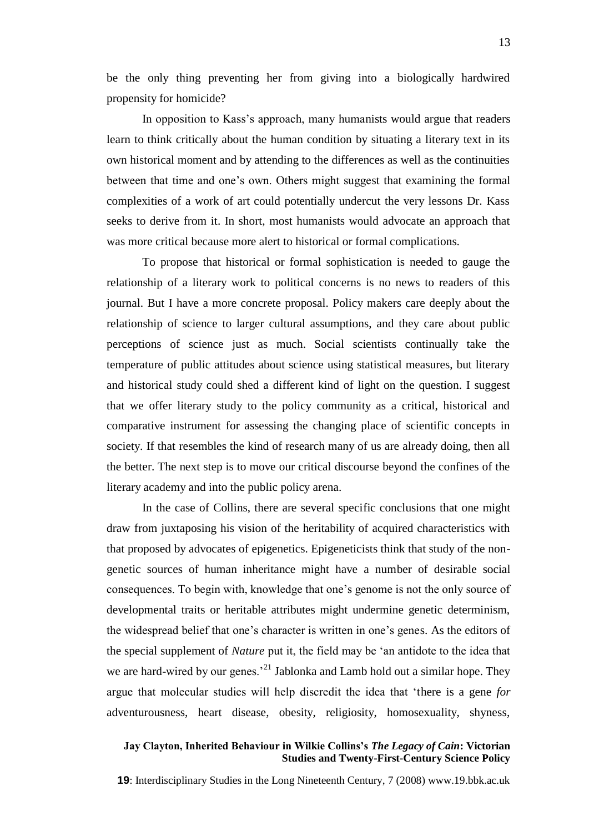be the only thing preventing her from giving into a biologically hardwired propensity for homicide?

In opposition to Kass's approach, many humanists would argue that readers learn to think critically about the human condition by situating a literary text in its own historical moment and by attending to the differences as well as the continuities between that time and one's own. Others might suggest that examining the formal complexities of a work of art could potentially undercut the very lessons Dr. Kass seeks to derive from it. In short, most humanists would advocate an approach that was more critical because more alert to historical or formal complications.

To propose that historical or formal sophistication is needed to gauge the relationship of a literary work to political concerns is no news to readers of this journal. But I have a more concrete proposal. Policy makers care deeply about the relationship of science to larger cultural assumptions, and they care about public perceptions of science just as much. Social scientists continually take the temperature of public attitudes about science using statistical measures, but literary and historical study could shed a different kind of light on the question. I suggest that we offer literary study to the policy community as a critical, historical and comparative instrument for assessing the changing place of scientific concepts in society. If that resembles the kind of research many of us are already doing, then all the better. The next step is to move our critical discourse beyond the confines of the literary academy and into the public policy arena.

In the case of Collins, there are several specific conclusions that one might draw from juxtaposing his vision of the heritability of acquired characteristics with that proposed by advocates of epigenetics. Epigeneticists think that study of the nongenetic sources of human inheritance might have a number of desirable social consequences. To begin with, knowledge that one's genome is not the only source of developmental traits or heritable attributes might undermine genetic determinism, the widespread belief that one's character is written in one's genes. As the editors of the special supplement of *Nature* put it, the field may be ‗an antidote to the idea that we are hard-wired by our genes.<sup>21</sup> Jablonka and Lamb hold out a similar hope. They argue that molecular studies will help discredit the idea that 'there is a gene *for* adventurousness, heart disease, obesity, religiosity, homosexuality, shyness,

#### **Jay Clayton, Inherited Behaviour in Wilkie Collins's** *The Legacy of Cain***: Victorian Studies and Twenty-First-Century Science Policy**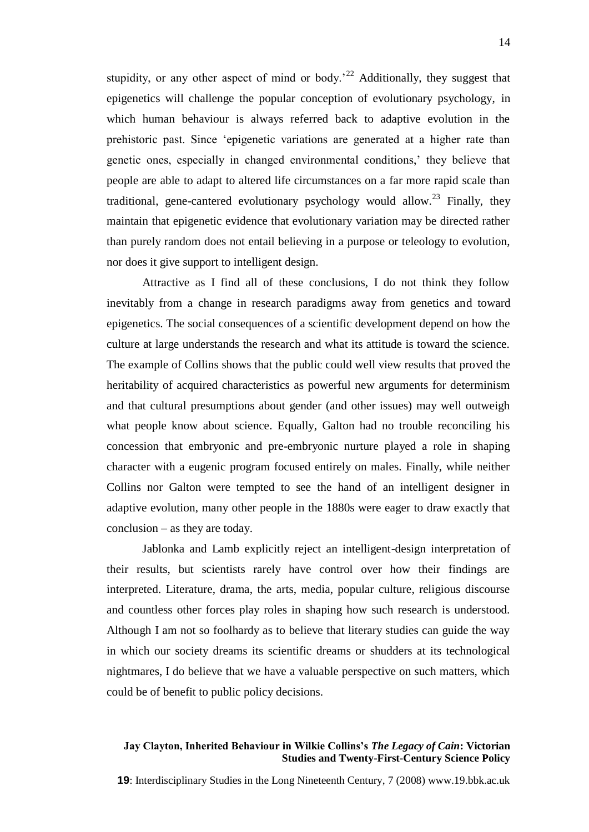stupidity, or any other aspect of mind or body.<sup>22</sup> Additionally, they suggest that epigenetics will challenge the popular conception of evolutionary psychology, in which human behaviour is always referred back to adaptive evolution in the prehistoric past. Since ‗epigenetic variations are generated at a higher rate than genetic ones, especially in changed environmental conditions,' they believe that people are able to adapt to altered life circumstances on a far more rapid scale than traditional, gene-cantered evolutionary psychology would allow.<sup>23</sup> Finally, they maintain that epigenetic evidence that evolutionary variation may be directed rather than purely random does not entail believing in a purpose or teleology to evolution, nor does it give support to intelligent design.

Attractive as I find all of these conclusions, I do not think they follow inevitably from a change in research paradigms away from genetics and toward epigenetics. The social consequences of a scientific development depend on how the culture at large understands the research and what its attitude is toward the science. The example of Collins shows that the public could well view results that proved the heritability of acquired characteristics as powerful new arguments for determinism and that cultural presumptions about gender (and other issues) may well outweigh what people know about science. Equally, Galton had no trouble reconciling his concession that embryonic and pre-embryonic nurture played a role in shaping character with a eugenic program focused entirely on males. Finally, while neither Collins nor Galton were tempted to see the hand of an intelligent designer in adaptive evolution, many other people in the 1880s were eager to draw exactly that conclusion – as they are today.

Jablonka and Lamb explicitly reject an intelligent-design interpretation of their results, but scientists rarely have control over how their findings are interpreted. Literature, drama, the arts, media, popular culture, religious discourse and countless other forces play roles in shaping how such research is understood. Although I am not so foolhardy as to believe that literary studies can guide the way in which our society dreams its scientific dreams or shudders at its technological nightmares, I do believe that we have a valuable perspective on such matters, which could be of benefit to public policy decisions.

#### **Jay Clayton, Inherited Behaviour in Wilkie Collins's** *The Legacy of Cain***: Victorian Studies and Twenty-First-Century Science Policy**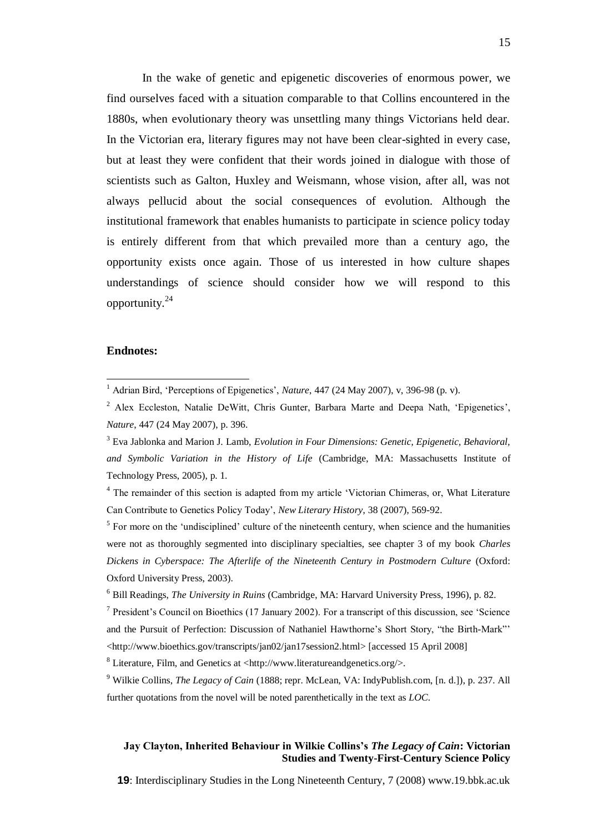In the wake of genetic and epigenetic discoveries of enormous power, we find ourselves faced with a situation comparable to that Collins encountered in the 1880s, when evolutionary theory was unsettling many things Victorians held dear. In the Victorian era, literary figures may not have been clear-sighted in every case, but at least they were confident that their words joined in dialogue with those of scientists such as Galton, Huxley and Weismann, whose vision, after all, was not always pellucid about the social consequences of evolution. Although the institutional framework that enables humanists to participate in science policy today is entirely different from that which prevailed more than a century ago, the opportunity exists once again. Those of us interested in how culture shapes understandings of science should consider how we will respond to this opportunity.<sup>24</sup>

#### **Endnotes:**

 $\overline{a}$ 

 $<sup>5</sup>$  For more on the 'undisciplined' culture of the nineteenth century, when science and the humanities</sup> were not as thoroughly segmented into disciplinary specialties, see chapter 3 of my book *Charles Dickens in Cyberspace: The Afterlife of the Nineteenth Century in Postmodern Culture* (Oxford: Oxford University Press, 2003).

 $7$  President's Council on Bioethics (17 January 2002). For a transcript of this discussion, see 'Science and the Pursuit of Perfection: Discussion of Nathaniel Hawthorne's Short Story, "the Birth-Mark"' [<http://www.bioethics.gov/transcripts/jan02/jan17session2.html>](http://www.bioethics.gov/transcripts/jan02/jan17session2.html) [accessed 15 April 2008]

 $8$  Literature, Film, and Genetics at <<http://www.literatureandgenetics.org/>>.

<sup>9</sup> Wilkie Collins, *The Legacy of Cain* (1888; repr. McLean, VA: IndyPublish.com, [n. d.]), p. 237. All further quotations from the novel will be noted parenthetically in the text as *LOC*.

# **Jay Clayton, Inherited Behaviour in Wilkie Collins's** *The Legacy of Cain***: Victorian Studies and Twenty-First-Century Science Policy**

<sup>&</sup>lt;sup>1</sup> Adrian Bird, 'Perceptions of Epigenetics', *Nature*, 447 (24 May 2007), v, 396-98 (p. v).

<sup>&</sup>lt;sup>2</sup> Alex Eccleston, Natalie DeWitt, Chris Gunter, Barbara Marte and Deepa Nath, 'Epigenetics', *Nature*, 447 (24 May 2007), p. 396.

<sup>3</sup> Eva Jablonka and Marion J. Lamb, *Evolution in Four Dimensions: Genetic, Epigenetic, Behavioral, and Symbolic Variation in the History of Life* (Cambridge, MA: Massachusetts Institute of Technology Press, 2005), p. 1.

<sup>&</sup>lt;sup>4</sup> The remainder of this section is adapted from my article 'Victorian Chimeras, or, What Literature Can Contribute to Genetics Policy Today', *New Literary History*, 38 (2007), 569-92.

<sup>6</sup> Bill Readings, *The University in Ruins* (Cambridge, MA: Harvard University Press, 1996), p. 82.